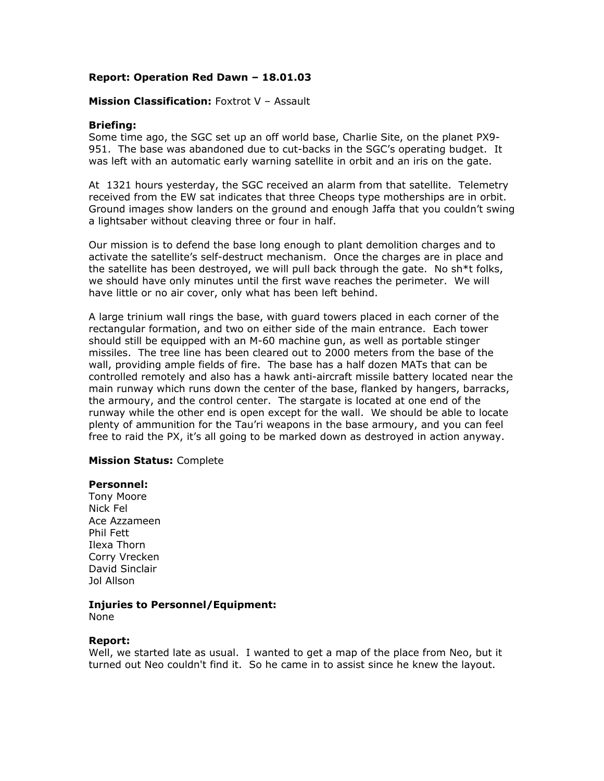## **Report: Operation Red Dawn – 18.01.03**

#### **Mission Classification: Foxtrot V - Assault**

### **Briefing:**

Some time ago, the SGC set up an off world base, Charlie Site, on the planet PX9- 951. The base was abandoned due to cut-backs in the SGC's operating budget. It was left with an automatic early warning satellite in orbit and an iris on the gate.

At 1321 hours yesterday, the SGC received an alarm from that satellite. Telemetry received from the EW sat indicates that three Cheops type motherships are in orbit. Ground images show landers on the ground and enough Jaffa that you couldn't swing a lightsaber without cleaving three or four in half.

Our mission is to defend the base long enough to plant demolition charges and to activate the satellite's self-destruct mechanism. Once the charges are in place and the satellite has been destroyed, we will pull back through the gate. No sh\*t folks, we should have only minutes until the first wave reaches the perimeter. We will have little or no air cover, only what has been left behind.

A large trinium wall rings the base, with guard towers placed in each corner of the rectangular formation, and two on either side of the main entrance. Each tower should still be equipped with an M-60 machine gun, as well as portable stinger missiles. The tree line has been cleared out to 2000 meters from the base of the wall, providing ample fields of fire. The base has a half dozen MATs that can be controlled remotely and also has a hawk anti-aircraft missile battery located near the main runway which runs down the center of the base, flanked by hangers, barracks, the armoury, and the control center. The stargate is located at one end of the runway while the other end is open except for the wall. We should be able to locate plenty of ammunition for the Tau'ri weapons in the base armoury, and you can feel free to raid the PX, it's all going to be marked down as destroyed in action anyway.

#### **Mission Status:** Complete

#### **Personnel:**

Tony Moore Nick Fel Ace Azzameen Phil Fett Ilexa Thorn Corry Vrecken David Sinclair Jol Allson

# **Injuries to Personnel/Equipment:**

None

#### **Report:**

Well, we started late as usual. I wanted to get a map of the place from Neo, but it turned out Neo couldn't find it. So he came in to assist since he knew the layout.